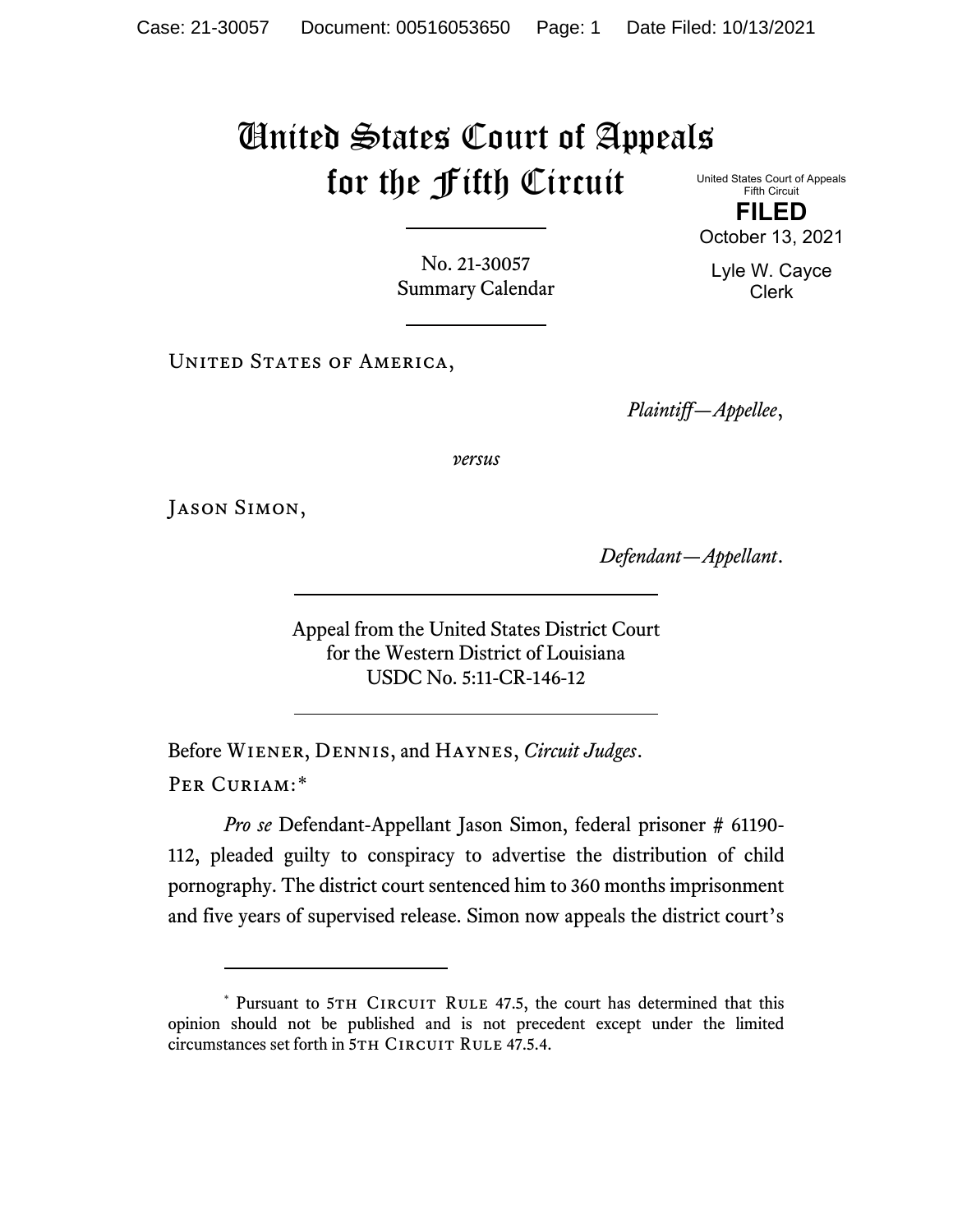## United States Court of Appeals for the Fifth Circuit

United States Court of Appeals Fifth Circuit **FILED** October 13, 2021

No. 21-30057 Summary Calendar

UNITED STATES OF AMERICA,

*Plaintiff—Appellee*,

*versus*

Jason Simon,

*Defendant—Appellant*.

Appeal from the United States District Court for the Western District of Louisiana USDC No. 5:11-CR-146-12

Before Wiener, Dennis, and Haynes, *Circuit Judges*. Per Curiam:[\\*](#page-0-0)

*Pro se* Defendant-Appellant Jason Simon, federal prisoner # 61190- 112, pleaded guilty to conspiracy to advertise the distribution of child pornography. The district court sentenced him to 360 months imprisonment and five years of supervised release. Simon now appeals the district court's

Lyle W. Cayce

Clerk

<span id="page-0-0"></span><sup>\*</sup> Pursuant to 5TH CIRCUIT RULE 47.5, the court has determined that this opinion should not be published and is not precedent except under the limited circumstances set forth in 5TH CIRCUIT RULE 47.5.4.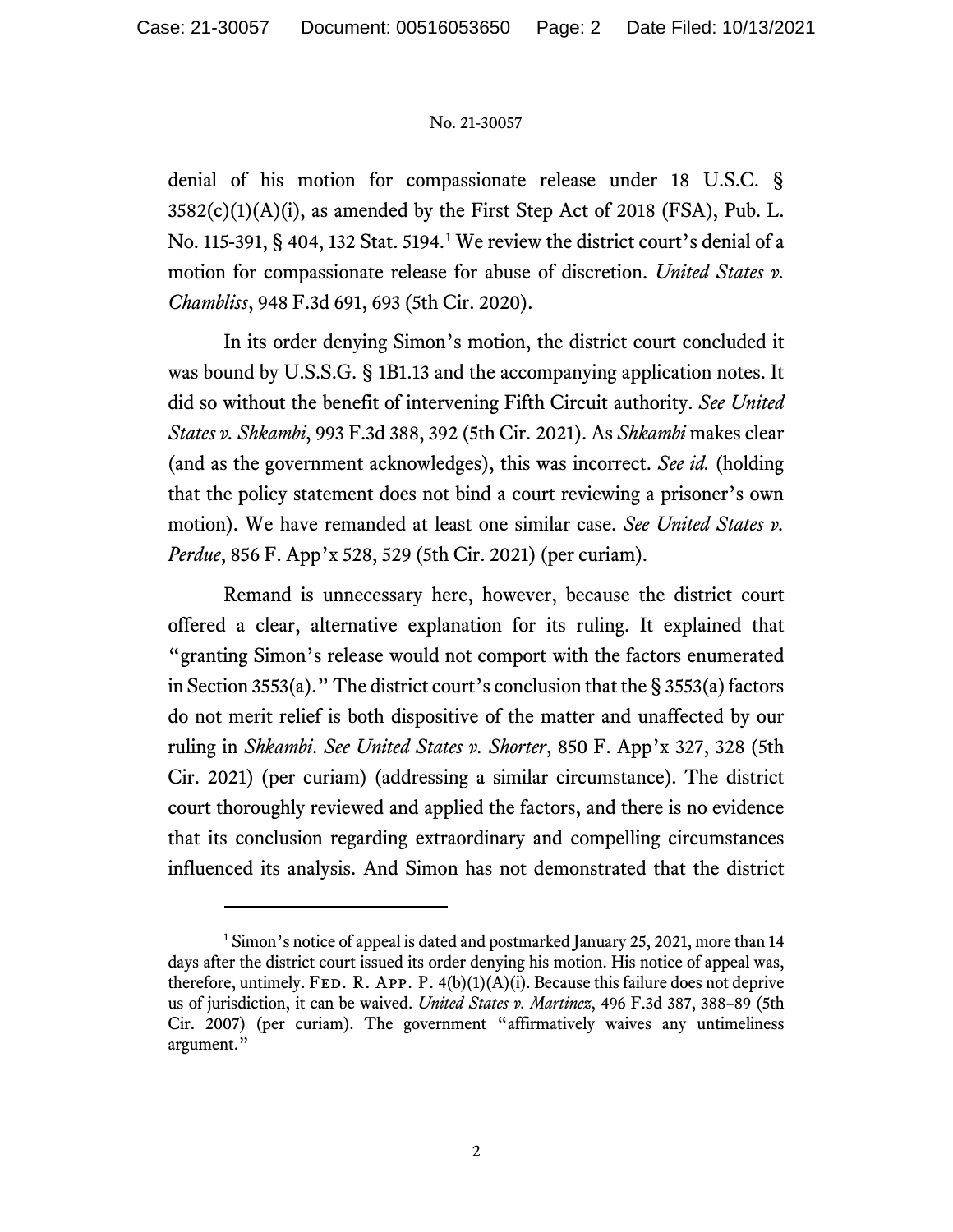## No. 21-30057

denial of his motion for compassionate release under 18 U.S.C. §  $3582(c)(1)(A)(i)$ , as amended by the First Step Act of 2018 (FSA), Pub. L. No. 115-391, § 404, 132 Stat. 5194.[1](#page-1-0) We review the district court's denial of a motion for compassionate release for abuse of discretion. *United States v. Chambliss*, 948 F.3d 691, 693 (5th Cir. 2020).

In its order denying Simon's motion, the district court concluded it was bound by U.S.S.G. § 1B1.13 and the accompanying application notes. It did so without the benefit of intervening Fifth Circuit authority. *See United States v. Shkambi*, 993 F.3d 388, 392 (5th Cir. 2021). As *Shkambi* makes clear (and as the government acknowledges), this was incorrect. *See id.* (holding that the policy statement does not bind a court reviewing a prisoner's own motion). We have remanded at least one similar case. *See United States v. Perdue*, 856 F. App'x 528, 529 (5th Cir. 2021) (per curiam).

Remand is unnecessary here, however, because the district court offered a clear, alternative explanation for its ruling. It explained that "granting Simon's release would not comport with the factors enumerated in Section 3553(a)." The district court's conclusion that the § 3553(a) factors do not merit relief is both dispositive of the matter and unaffected by our ruling in *Shkambi*. *See United States v. Shorter*, 850 F. App'x 327, 328 (5th Cir. 2021) (per curiam) (addressing a similar circumstance). The district court thoroughly reviewed and applied the factors, and there is no evidence that its conclusion regarding extraordinary and compelling circumstances influenced its analysis. And Simon has not demonstrated that the district

<span id="page-1-0"></span><sup>&</sup>lt;sup>1</sup> Simon's notice of appeal is dated and postmarked January 25, 2021, more than 14 days after the district court issued its order denying his motion. His notice of appeal was, therefore, untimely. FED. R. APP. P.  $4(b)(1)(A)(i)$ . Because this failure does not deprive us of jurisdiction, it can be waived. *United States v. Martinez*, 496 F.3d 387, 388–89 (5th Cir. 2007) (per curiam). The government "affirmatively waives any untimeliness argument."